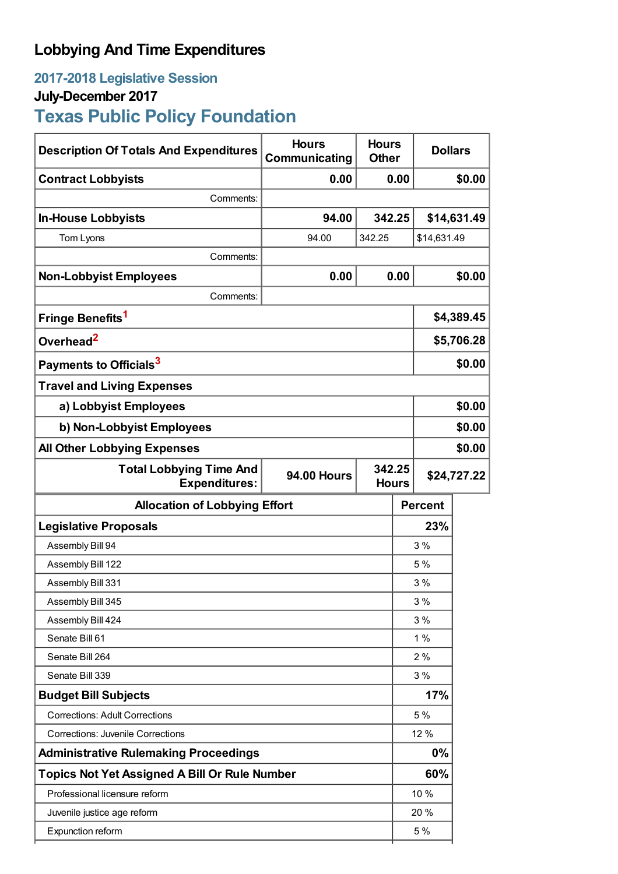## **Lobbying And Time Expenditures**

### **2017-2018 Legislative Session**

### **July-December 2017**

# **Texas Public Policy Foundation**

| <b>Description Of Totals And Expenditures</b>          | <b>Hours</b><br>Communicating | <b>Hours</b><br><b>Other</b> |                | <b>Dollars</b> |             |  |
|--------------------------------------------------------|-------------------------------|------------------------------|----------------|----------------|-------------|--|
| <b>Contract Lobbyists</b>                              | 0.00                          |                              | 0.00           | \$0.00         |             |  |
| Comments:                                              |                               |                              |                |                |             |  |
| <b>In-House Lobbyists</b>                              | 94.00                         |                              | 342.25         |                | \$14,631.49 |  |
| Tom Lyons                                              | 94.00                         | 342.25                       |                | \$14,631.49    |             |  |
| Comments:                                              |                               |                              |                |                |             |  |
| <b>Non-Lobbyist Employees</b>                          | 0.00                          |                              | 0.00           | \$0.00         |             |  |
| Comments:                                              |                               |                              |                |                |             |  |
| Fringe Benefits <sup>1</sup>                           |                               |                              |                |                | \$4,389.45  |  |
| Overhead <sup>2</sup>                                  |                               |                              |                | \$5,706.28     |             |  |
| Payments to Officials <sup>3</sup>                     |                               |                              | \$0.00         |                |             |  |
| <b>Travel and Living Expenses</b>                      |                               |                              |                |                |             |  |
| a) Lobbyist Employees                                  |                               |                              |                |                | \$0.00      |  |
| b) Non-Lobbyist Employees                              |                               |                              |                | \$0.00         |             |  |
| <b>All Other Lobbying Expenses</b>                     |                               |                              |                |                | \$0.00      |  |
| <b>Total Lobbying Time And</b><br><b>Expenditures:</b> | <b>94.00 Hours</b>            | 342.25                       | <b>Hours</b>   | \$24,727.22    |             |  |
| <b>Allocation of Lobbying Effort</b>                   |                               |                              | <b>Percent</b> |                |             |  |
| <b>Legislative Proposals</b>                           |                               |                              | 23%            |                |             |  |
| Assembly Bill 94                                       |                               |                              | 3%             |                |             |  |
| Assembly Bill 122                                      |                               |                              | 5 %            |                |             |  |
| Assembly Bill 331                                      |                               | 3%                           |                |                |             |  |
| Assembly Bill 345                                      |                               |                              | 3%             |                |             |  |
| Assembly Bill 424                                      |                               |                              | 3%             |                |             |  |
| Senate Bill 61                                         |                               |                              | 1%             |                |             |  |
| Senate Bill 264                                        |                               |                              | 2%             |                |             |  |
| Senate Bill 339                                        |                               |                              | 3%             |                |             |  |
| <b>Budget Bill Subjects</b>                            |                               |                              | 17%            |                |             |  |
| <b>Corrections: Adult Corrections</b>                  |                               |                              |                | 5 %            |             |  |
| <b>Corrections: Juvenile Corrections</b>               |                               |                              | 12 %           |                |             |  |
| <b>Administrative Rulemaking Proceedings</b>           |                               |                              | 0%             |                |             |  |
| <b>Topics Not Yet Assigned A Bill Or Rule Number</b>   |                               |                              | 60%            |                |             |  |
| Professional licensure reform                          |                               |                              | 10 %           |                |             |  |
| Juvenile justice age reform                            |                               |                              | 20 %           |                |             |  |
| Expunction reform                                      |                               |                              |                | 5 %            |             |  |